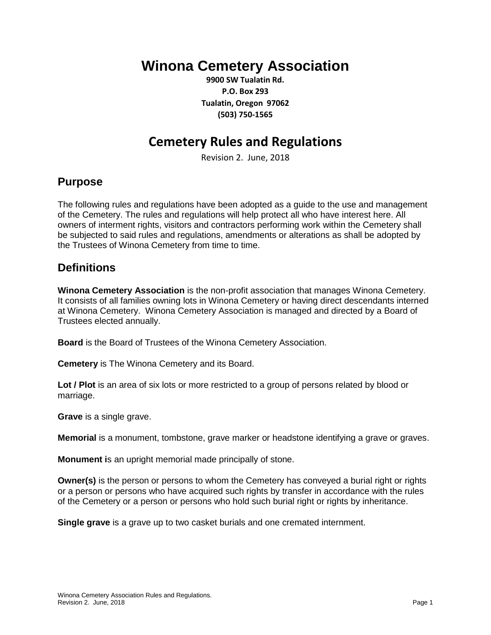# **Winona Cemetery Association**

**9900 SW Tualatin Rd. P.O. Box 293 Tualatin, Oregon 97062 (503) 750-1565**

## **Cemetery Rules and Regulations**

Revision 2. June, 2018

### **Purpose**

The following rules and regulations have been adopted as a guide to the use and management of the Cemetery. The rules and regulations will help protect all who have interest here. All owners of interment rights, visitors and contractors performing work within the Cemetery shall be subjected to said rules and regulations, amendments or alterations as shall be adopted by the Trustees of Winona Cemetery from time to time.

### **Definitions**

**Winona Cemetery Association** is the non-profit association that manages Winona Cemetery. It consists of all families owning lots in Winona Cemetery or having direct descendants interned at Winona Cemetery. Winona Cemetery Association is managed and directed by a Board of Trustees elected annually.

**Board** is the Board of Trustees of the Winona Cemetery Association.

**Cemetery** is The Winona Cemetery and its Board.

**Lot / Plot** is an area of six lots or more restricted to a group of persons related by blood or marriage.

**Grave** is a single grave.

**Memorial** is a monument, tombstone, grave marker or headstone identifying a grave or graves.

**Monument i**s an upright memorial made principally of stone.

**Owner(s)** is the person or persons to whom the Cemetery has conveyed a burial right or rights or a person or persons who have acquired such rights by transfer in accordance with the rules of the Cemetery or a person or persons who hold such burial right or rights by inheritance.

**Single grave** is a grave up to two casket burials and one cremated internment.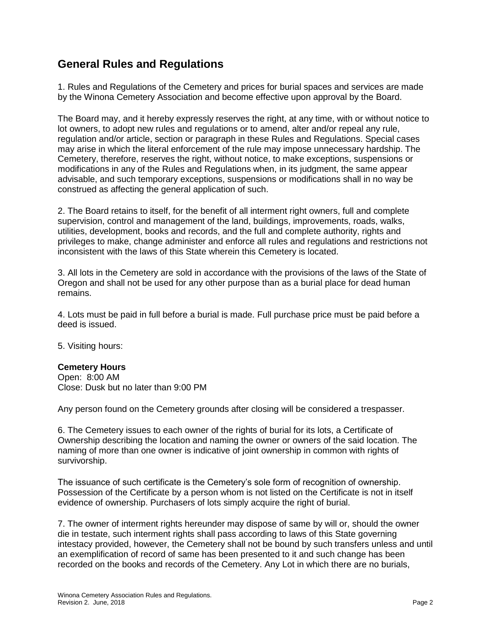### **General Rules and Regulations**

1. Rules and Regulations of the Cemetery and prices for burial spaces and services are made by the Winona Cemetery Association and become effective upon approval by the Board.

The Board may, and it hereby expressly reserves the right, at any time, with or without notice to lot owners, to adopt new rules and regulations or to amend, alter and/or repeal any rule, regulation and/or article, section or paragraph in these Rules and Regulations. Special cases may arise in which the literal enforcement of the rule may impose unnecessary hardship. The Cemetery, therefore, reserves the right, without notice, to make exceptions, suspensions or modifications in any of the Rules and Regulations when, in its judgment, the same appear advisable, and such temporary exceptions, suspensions or modifications shall in no way be construed as affecting the general application of such.

2. The Board retains to itself, for the benefit of all interment right owners, full and complete supervision, control and management of the land, buildings, improvements, roads, walks, utilities, development, books and records, and the full and complete authority, rights and privileges to make, change administer and enforce all rules and regulations and restrictions not inconsistent with the laws of this State wherein this Cemetery is located.

3. All lots in the Cemetery are sold in accordance with the provisions of the laws of the State of Oregon and shall not be used for any other purpose than as a burial place for dead human remains.

4. Lots must be paid in full before a burial is made. Full purchase price must be paid before a deed is issued.

5. Visiting hours:

#### **Cemetery Hours**

Open: 8:00 AM Close: Dusk but no later than 9:00 PM

Any person found on the Cemetery grounds after closing will be considered a trespasser.

6. The Cemetery issues to each owner of the rights of burial for its lots, a Certificate of Ownership describing the location and naming the owner or owners of the said location. The naming of more than one owner is indicative of joint ownership in common with rights of survivorship.

The issuance of such certificate is the Cemetery's sole form of recognition of ownership. Possession of the Certificate by a person whom is not listed on the Certificate is not in itself evidence of ownership. Purchasers of lots simply acquire the right of burial.

7. The owner of interment rights hereunder may dispose of same by will or, should the owner die in testate, such interment rights shall pass according to laws of this State governing intestacy provided, however, the Cemetery shall not be bound by such transfers unless and until an exemplification of record of same has been presented to it and such change has been recorded on the books and records of the Cemetery. Any Lot in which there are no burials,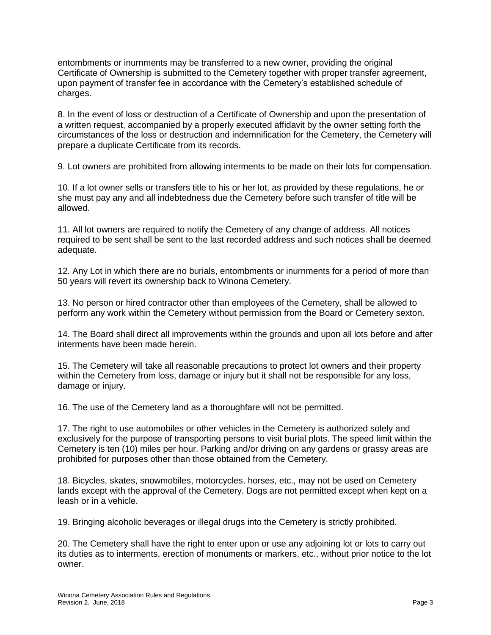entombments or inurnments may be transferred to a new owner, providing the original Certificate of Ownership is submitted to the Cemetery together with proper transfer agreement, upon payment of transfer fee in accordance with the Cemetery's established schedule of charges.

8. In the event of loss or destruction of a Certificate of Ownership and upon the presentation of a written request, accompanied by a properly executed affidavit by the owner setting forth the circumstances of the loss or destruction and indemnification for the Cemetery, the Cemetery will prepare a duplicate Certificate from its records.

9. Lot owners are prohibited from allowing interments to be made on their lots for compensation.

10. If a lot owner sells or transfers title to his or her lot, as provided by these regulations, he or she must pay any and all indebtedness due the Cemetery before such transfer of title will be allowed.

11. All lot owners are required to notify the Cemetery of any change of address. All notices required to be sent shall be sent to the last recorded address and such notices shall be deemed adequate.

12. Any Lot in which there are no burials, entombments or inurnments for a period of more than 50 years will revert its ownership back to Winona Cemetery.

13. No person or hired contractor other than employees of the Cemetery, shall be allowed to perform any work within the Cemetery without permission from the Board or Cemetery sexton.

14. The Board shall direct all improvements within the grounds and upon all lots before and after interments have been made herein.

15. The Cemetery will take all reasonable precautions to protect lot owners and their property within the Cemetery from loss, damage or injury but it shall not be responsible for any loss, damage or injury.

16. The use of the Cemetery land as a thoroughfare will not be permitted.

17. The right to use automobiles or other vehicles in the Cemetery is authorized solely and exclusively for the purpose of transporting persons to visit burial plots. The speed limit within the Cemetery is ten (10) miles per hour. Parking and/or driving on any gardens or grassy areas are prohibited for purposes other than those obtained from the Cemetery.

18. Bicycles, skates, snowmobiles, motorcycles, horses, etc., may not be used on Cemetery lands except with the approval of the Cemetery. Dogs are not permitted except when kept on a leash or in a vehicle.

19. Bringing alcoholic beverages or illegal drugs into the Cemetery is strictly prohibited.

20. The Cemetery shall have the right to enter upon or use any adjoining lot or lots to carry out its duties as to interments, erection of monuments or markers, etc., without prior notice to the lot owner.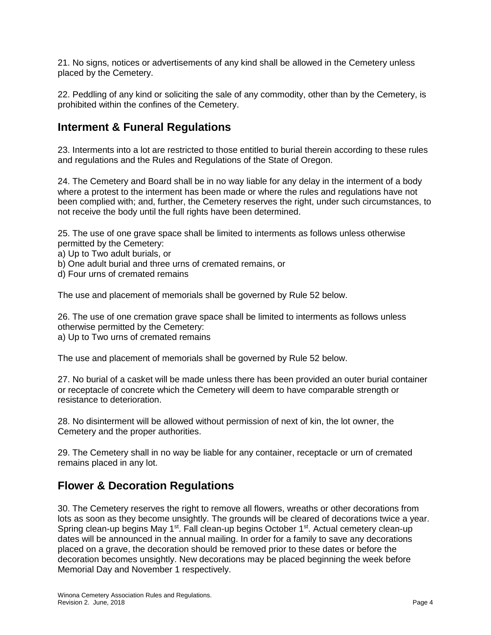21. No signs, notices or advertisements of any kind shall be allowed in the Cemetery unless placed by the Cemetery.

22. Peddling of any kind or soliciting the sale of any commodity, other than by the Cemetery, is prohibited within the confines of the Cemetery.

### **Interment & Funeral Regulations**

23. Interments into a lot are restricted to those entitled to burial therein according to these rules and regulations and the Rules and Regulations of the State of Oregon.

24. The Cemetery and Board shall be in no way liable for any delay in the interment of a body where a protest to the interment has been made or where the rules and regulations have not been complied with; and, further, the Cemetery reserves the right, under such circumstances, to not receive the body until the full rights have been determined.

25. The use of one grave space shall be limited to interments as follows unless otherwise permitted by the Cemetery:

a) Up to Two adult burials, or

b) One adult burial and three urns of cremated remains, or

d) Four urns of cremated remains

The use and placement of memorials shall be governed by Rule 52 below.

26. The use of one cremation grave space shall be limited to interments as follows unless otherwise permitted by the Cemetery: a) Up to Two urns of cremated remains

The use and placement of memorials shall be governed by Rule 52 below.

27. No burial of a casket will be made unless there has been provided an outer burial container or receptacle of concrete which the Cemetery will deem to have comparable strength or resistance to deterioration.

28. No disinterment will be allowed without permission of next of kin, the lot owner, the Cemetery and the proper authorities.

29. The Cemetery shall in no way be liable for any container, receptacle or urn of cremated remains placed in any lot.

### **Flower & Decoration Regulations**

30. The Cemetery reserves the right to remove all flowers, wreaths or other decorations from lots as soon as they become unsightly. The grounds will be cleared of decorations twice a year. Spring clean-up begins May 1<sup>st</sup>. Fall clean-up begins October 1<sup>st</sup>. Actual cemetery clean-up dates will be announced in the annual mailing. In order for a family to save any decorations placed on a grave, the decoration should be removed prior to these dates or before the decoration becomes unsightly. New decorations may be placed beginning the week before Memorial Day and November 1 respectively.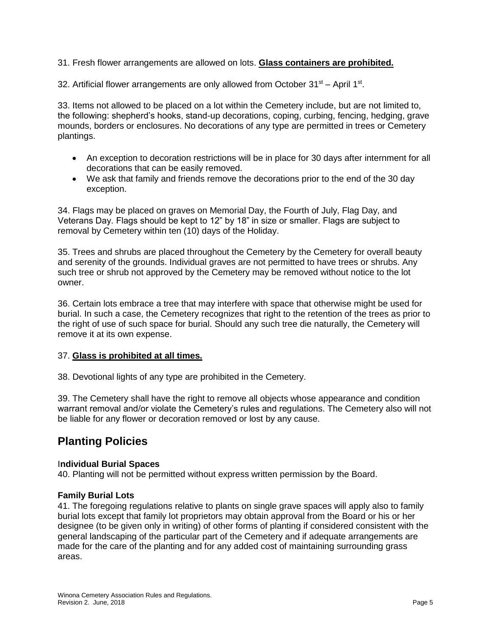31. Fresh flower arrangements are allowed on lots. **Glass containers are prohibited.**

32. Artificial flower arrangements are only allowed from October  $31<sup>st</sup> -$  April 1<sup>st</sup>.

33. Items not allowed to be placed on a lot within the Cemetery include, but are not limited to, the following: shepherd's hooks, stand-up decorations, coping, curbing, fencing, hedging, grave mounds, borders or enclosures. No decorations of any type are permitted in trees or Cemetery plantings.

- An exception to decoration restrictions will be in place for 30 days after internment for all decorations that can be easily removed.
- We ask that family and friends remove the decorations prior to the end of the 30 day exception.

34. Flags may be placed on graves on Memorial Day, the Fourth of July, Flag Day, and Veterans Day. Flags should be kept to 12" by 18" in size or smaller. Flags are subject to removal by Cemetery within ten (10) days of the Holiday.

35. Trees and shrubs are placed throughout the Cemetery by the Cemetery for overall beauty and serenity of the grounds. Individual graves are not permitted to have trees or shrubs. Any such tree or shrub not approved by the Cemetery may be removed without notice to the lot owner.

36. Certain lots embrace a tree that may interfere with space that otherwise might be used for burial. In such a case, the Cemetery recognizes that right to the retention of the trees as prior to the right of use of such space for burial. Should any such tree die naturally, the Cemetery will remove it at its own expense.

#### 37. **Glass is prohibited at all times.**

38. Devotional lights of any type are prohibited in the Cemetery.

39. The Cemetery shall have the right to remove all objects whose appearance and condition warrant removal and/or violate the Cemetery's rules and regulations. The Cemetery also will not be liable for any flower or decoration removed or lost by any cause.

### **Planting Policies**

#### I**ndividual Burial Spaces**

40. Planting will not be permitted without express written permission by the Board.

#### **Family Burial Lots**

41. The foregoing regulations relative to plants on single grave spaces will apply also to family burial lots except that family lot proprietors may obtain approval from the Board or his or her designee (to be given only in writing) of other forms of planting if considered consistent with the general landscaping of the particular part of the Cemetery and if adequate arrangements are made for the care of the planting and for any added cost of maintaining surrounding grass areas.